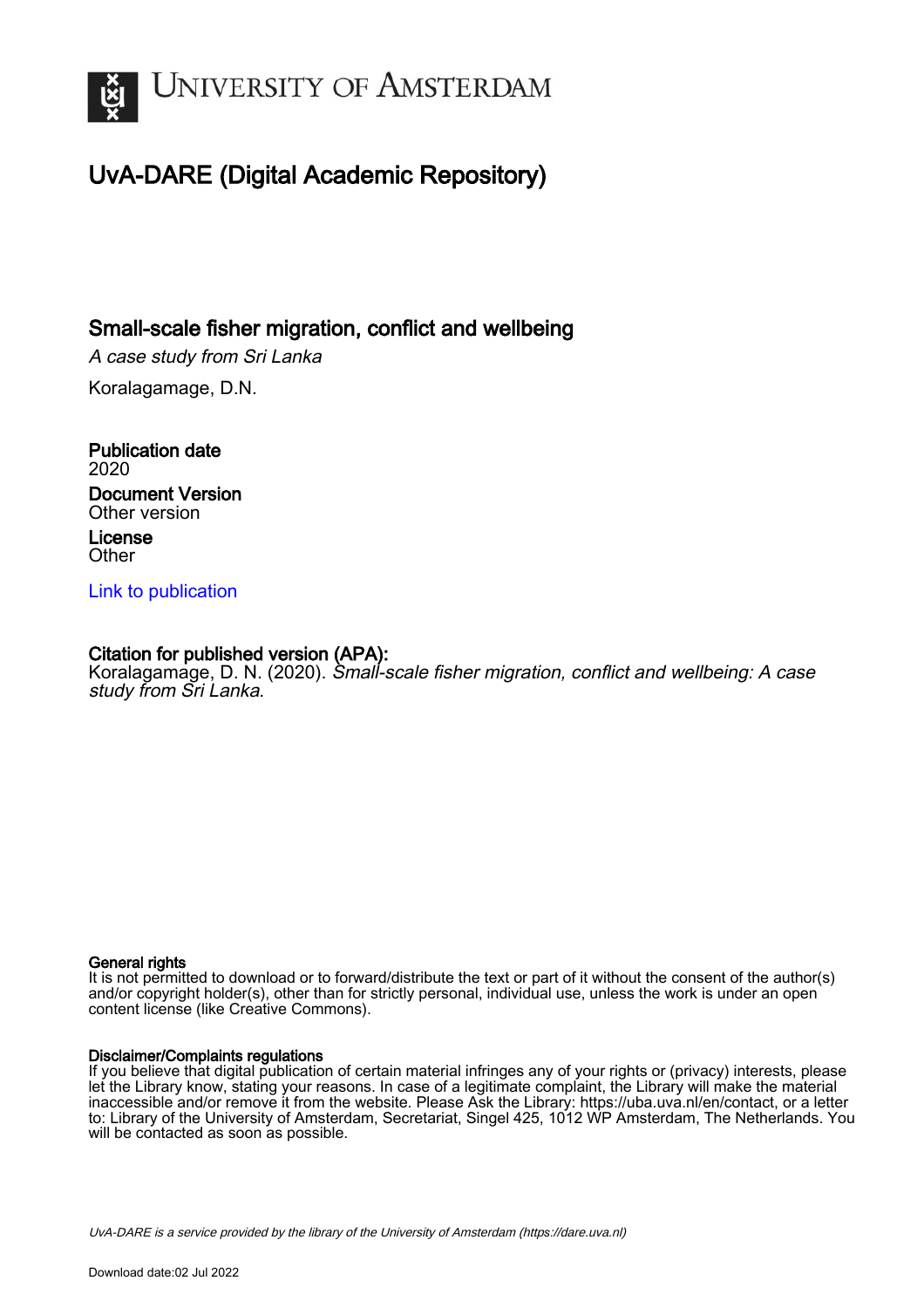

# UvA-DARE (Digital Academic Repository)

## Small-scale fisher migration, conflict and wellbeing

A case study from Sri Lanka

Koralagamage, D.N.

Publication date 2020 Document Version Other version License **Other** 

[Link to publication](https://dare.uva.nl/personal/pure/en/publications/smallscale-fisher-migration-conflict-and-wellbeing(a53a13bd-bf2a-494e-873f-0e61b603ad8e).html)

## Citation for published version (APA):

Koralagamage, D. N. (2020). Small-scale fisher migration, conflict and wellbeing: A case study from Sri Lanka.

### General rights

It is not permitted to download or to forward/distribute the text or part of it without the consent of the author(s) and/or copyright holder(s), other than for strictly personal, individual use, unless the work is under an open content license (like Creative Commons).

### Disclaimer/Complaints regulations

If you believe that digital publication of certain material infringes any of your rights or (privacy) interests, please let the Library know, stating your reasons. In case of a legitimate complaint, the Library will make the material inaccessible and/or remove it from the website. Please Ask the Library: https://uba.uva.nl/en/contact, or a letter to: Library of the University of Amsterdam, Secretariat, Singel 425, 1012 WP Amsterdam, The Netherlands. You will be contacted as soon as possible.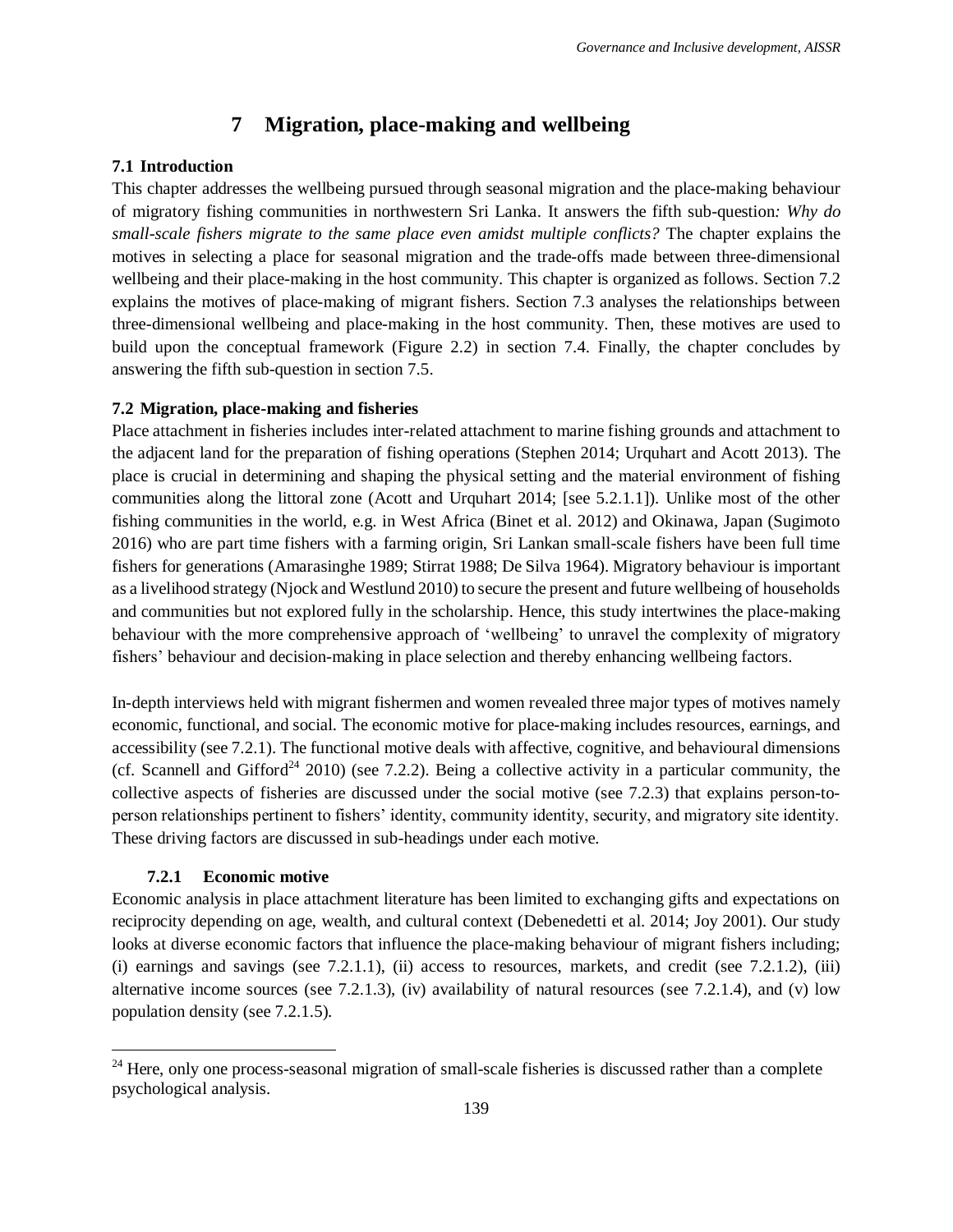## **7 Migration, place-making and wellbeing**

## **7.1 Introduction**

This chapter addresses the wellbeing pursued through seasonal migration and the place-making behaviour of migratory fishing communities in northwestern Sri Lanka. It answers the fifth sub-question*: Why do small-scale fishers migrate to the same place even amidst multiple conflicts?* The chapter explains the motives in selecting a place for seasonal migration and the trade-offs made between three-dimensional wellbeing and their place-making in the host community. This chapter is organized as follows. Section [7.2](#page-1-0) explains the motives of place-making of migrant fishers. Section [7.3](#page-9-0) analyses the relationships between three-dimensional wellbeing and place-making in the host community. Then, these motives are used to build upon the conceptual framework (Figure 2.2) in section [7.4.](#page-11-0) Finally, the chapter concludes by answering the fifth sub-question in section [7.5.](#page-12-0)

## <span id="page-1-0"></span>**7.2 Migration, place-making and fisheries**

Place attachment in fisheries includes inter-related attachment to marine fishing grounds and attachment to the adjacent land for the preparation of fishing operations (Stephen 2014; Urquhart and Acott 2013). The place is crucial in determining and shaping the physical setting and the material environment of fishing communities along the littoral zone (Acott and Urquhart 2014; [see 5.2.1.1]). Unlike most of the other fishing communities in the world, e.g. in West Africa (Binet et al. 2012) and Okinawa, Japan (Sugimoto 2016) who are part time fishers with a farming origin, Sri Lankan small-scale fishers have been full time fishers for generations (Amarasinghe 1989; Stirrat 1988; De Silva 1964). Migratory behaviour is important as a livelihood strategy (Njock and Westlund 2010) to secure the present and future wellbeing of households and communities but not explored fully in the scholarship. Hence, this study intertwines the place-making behaviour with the more comprehensive approach of 'wellbeing' to unravel the complexity of migratory fishers' behaviour and decision-making in place selection and thereby enhancing wellbeing factors.

In-depth interviews held with migrant fishermen and women revealed three major types of motives namely economic, functional, and social. The economic motive for place-making includes resources, earnings, and accessibility (see [7.2.1\)](#page-1-1). The functional motive deals with affective, cognitive, and behavioural dimensions (cf. Scannell and Gifford<sup>24</sup> 2010) (see [7.2.2\)](#page-5-0). Being a collective activity in a particular community, the collective aspects of fisheries are discussed under the social motive (see [7.2.3\)](#page-7-0) that explains person-toperson relationships pertinent to fishers' identity, community identity, security, and migratory site identity. These driving factors are discussed in sub-headings under each motive.

## **7.2.1 Economic motive**

 $\overline{\phantom{a}}$ 

<span id="page-1-1"></span>Economic analysis in place attachment literature has been limited to exchanging gifts and expectations on reciprocity depending on age, wealth, and cultural context (Debenedetti et al. 2014; Joy 2001). Our study looks at diverse economic factors that influence the place-making behaviour of migrant fishers including; (i) earnings and savings (see  $7.2.1.1$ ), (ii) access to resources, markets, and credit (see  $7.2.1.2$ ), (iii) alternative income sources (see [7.2.1.3\)](#page-4-0), (iv) availability of natural resources (see [7.2.1.4\)](#page-4-1), and (v) low population density (see [7.2.1.5\)](#page-4-2).

<sup>&</sup>lt;sup>24</sup> Here, only one process-seasonal migration of small-scale fisheries is discussed rather than a complete psychological analysis.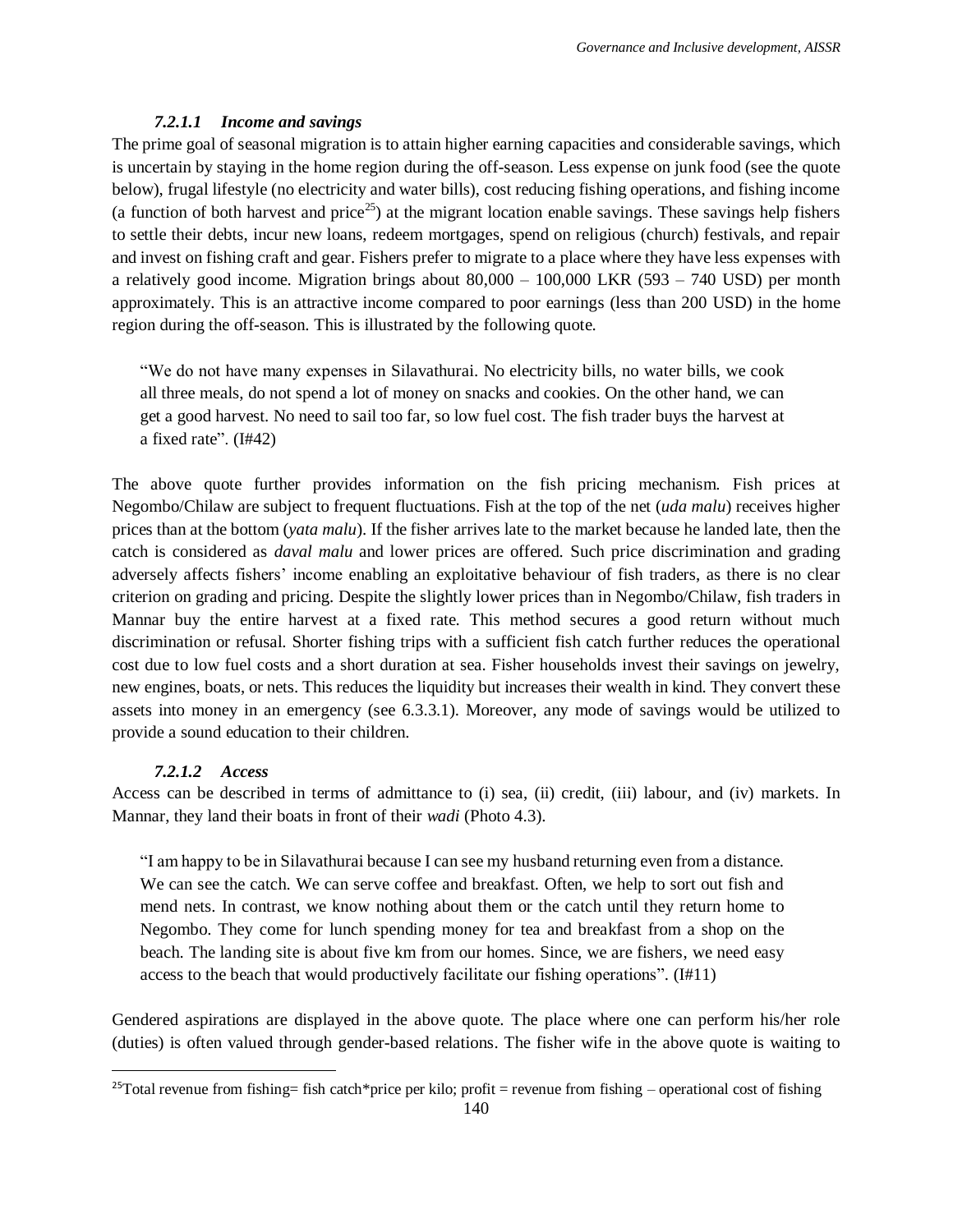## *7.2.1.1 Income and savings*

<span id="page-2-0"></span>The prime goal of seasonal migration is to attain higher earning capacities and considerable savings, which is uncertain by staying in the home region during the off-season. Less expense on junk food (see the quote below), frugal lifestyle (no electricity and water bills), cost reducing fishing operations, and fishing income (a function of both harvest and price<sup>25</sup>) at the migrant location enable savings. These savings help fishers to settle their debts, incur new loans, redeem mortgages, spend on religious (church) festivals, and repair and invest on fishing craft and gear. Fishers prefer to migrate to a place where they have less expenses with a relatively good income. Migration brings about  $80,000 - 100,000$  LKR (593 – 740 USD) per month approximately. This is an attractive income compared to poor earnings (less than 200 USD) in the home region during the off-season. This is illustrated by the following quote.

"We do not have many expenses in Silavathurai. No electricity bills, no water bills, we cook all three meals, do not spend a lot of money on snacks and cookies. On the other hand, we can get a good harvest. No need to sail too far, so low fuel cost. The fish trader buys the harvest at a fixed rate". (I#42)

The above quote further provides information on the fish pricing mechanism. Fish prices at Negombo/Chilaw are subject to frequent fluctuations. Fish at the top of the net (*uda malu*) receives higher prices than at the bottom (*yata malu*). If the fisher arrives late to the market because he landed late, then the catch is considered as *daval malu* and lower prices are offered. Such price discrimination and grading adversely affects fishers' income enabling an exploitative behaviour of fish traders, as there is no clear criterion on grading and pricing. Despite the slightly lower prices than in Negombo/Chilaw, fish traders in Mannar buy the entire harvest at a fixed rate. This method secures a good return without much discrimination or refusal. Shorter fishing trips with a sufficient fish catch further reduces the operational cost due to low fuel costs and a short duration at sea. Fisher households invest their savings on jewelry, new engines, boats, or nets. This reduces the liquidity but increases their wealth in kind. They convert these assets into money in an emergency (see 6.3.3.1). Moreover, any mode of savings would be utilized to provide a sound education to their children.

## *7.2.1.2 Access*

 $\overline{\phantom{a}}$ 

<span id="page-2-1"></span>Access can be described in terms of admittance to (i) sea, (ii) credit, (iii) labour, and (iv) markets. In Mannar, they land their boats in front of their *wadi* (Photo 4.3).

"I am happy to be in Silavathurai because I can see my husband returning even from a distance. We can see the catch. We can serve coffee and breakfast. Often, we help to sort out fish and mend nets. In contrast, we know nothing about them or the catch until they return home to Negombo. They come for lunch spending money for tea and breakfast from a shop on the beach. The landing site is about five km from our homes. Since, we are fishers, we need easy access to the beach that would productively facilitate our fishing operations". (I#11)

Gendered aspirations are displayed in the above quote. The place where one can perform his/her role (duties) is often valued through gender-based relations. The fisher wife in the above quote is waiting to

<sup>&</sup>lt;sup>25</sup>Total revenue from fishing= fish catch\*price per kilo; profit = revenue from fishing – operational cost of fishing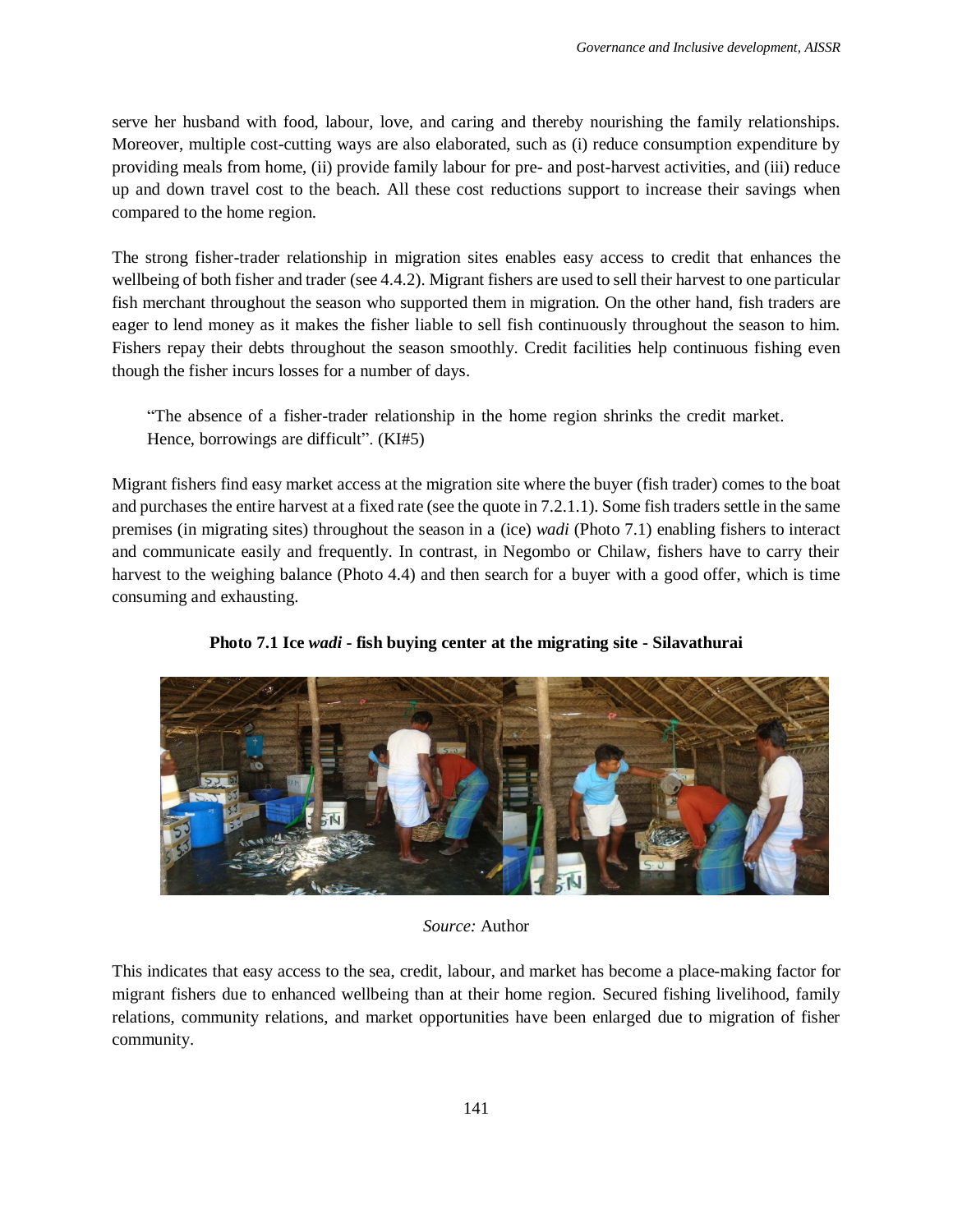serve her husband with food, labour, love, and caring and thereby nourishing the family relationships. Moreover, multiple cost-cutting ways are also elaborated, such as (i) reduce consumption expenditure by providing meals from home, (ii) provide family labour for pre- and post-harvest activities, and (iii) reduce up and down travel cost to the beach. All these cost reductions support to increase their savings when compared to the home region.

The strong fisher-trader relationship in migration sites enables easy access to credit that enhances the wellbeing of both fisher and trader (see 4.4.2). Migrant fishers are used to sell their harvest to one particular fish merchant throughout the season who supported them in migration. On the other hand, fish traders are eager to lend money as it makes the fisher liable to sell fish continuously throughout the season to him. Fishers repay their debts throughout the season smoothly. Credit facilities help continuous fishing even though the fisher incurs losses for a number of days.

"The absence of a fisher-trader relationship in the home region shrinks the credit market. Hence, borrowings are difficult". (KI#5)

Migrant fishers find easy market access at the migration site where the buyer (fish trader) comes to the boat and purchases the entire harvest at a fixed rate (see the quote in [7.2.1.1\)](#page-2-0). Some fish traders settle in the same premises (in migrating sites) throughout the season in a (ice) *wadi* [\(Photo 7.1\)](#page-3-0) enabling fishers to interact and communicate easily and frequently. In contrast, in Negombo or Chilaw, fishers have to carry their harvest to the weighing balance (Photo 4.4) and then search for a buyer with a good offer, which is time consuming and exhausting.

<span id="page-3-0"></span>



#### *Source:* Author

This indicates that easy access to the sea, credit, labour, and market has become a place-making factor for migrant fishers due to enhanced wellbeing than at their home region. Secured fishing livelihood, family relations, community relations, and market opportunities have been enlarged due to migration of fisher community.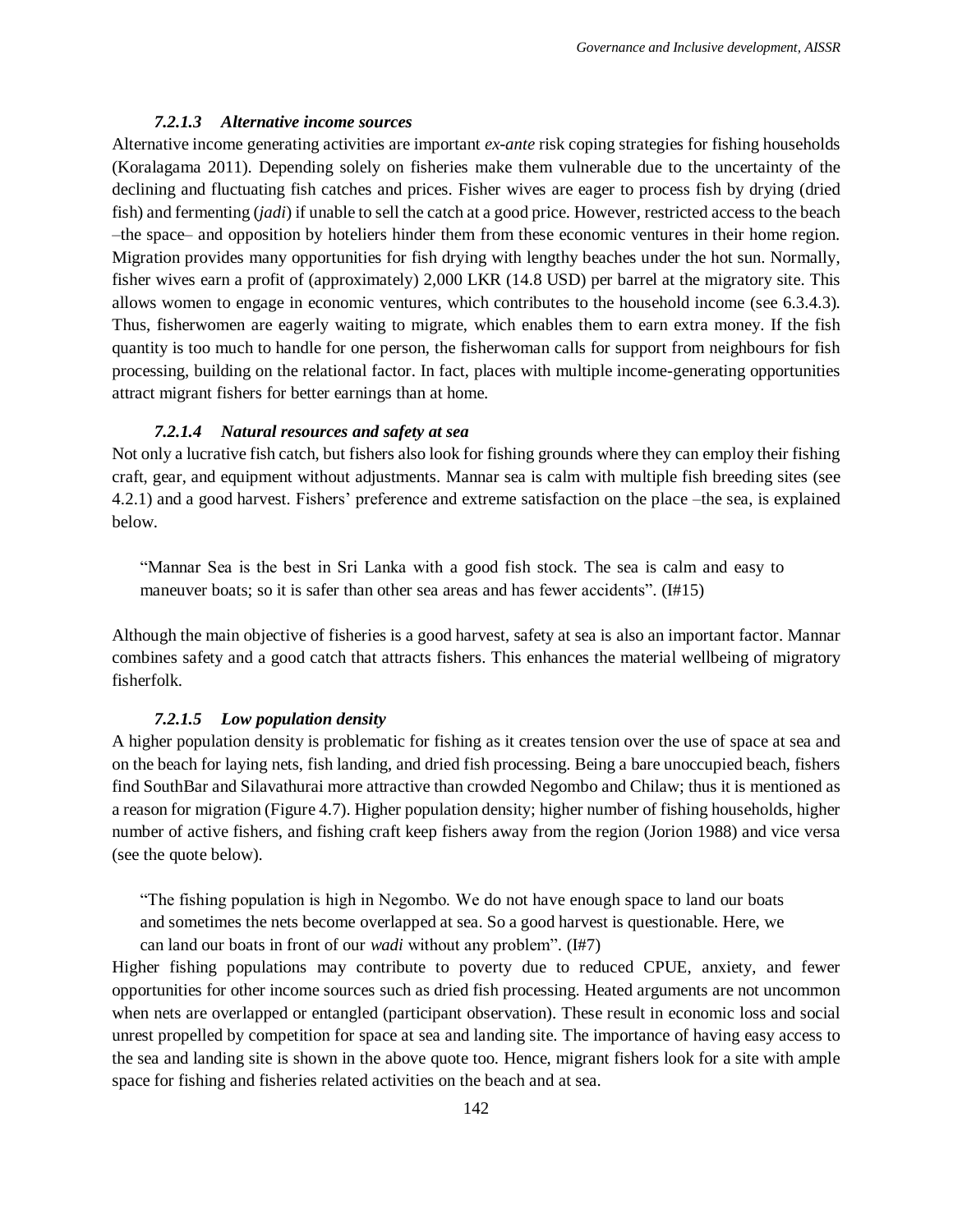#### *7.2.1.3 Alternative income sources*

<span id="page-4-0"></span>Alternative income generating activities are important *ex-ante* risk coping strategies for fishing households (Koralagama 2011). Depending solely on fisheries make them vulnerable due to the uncertainty of the declining and fluctuating fish catches and prices. Fisher wives are eager to process fish by drying (dried fish) and fermenting (*jadi*) if unable to sell the catch at a good price. However, restricted access to the beach –the space– and opposition by hoteliers hinder them from these economic ventures in their home region. Migration provides many opportunities for fish drying with lengthy beaches under the hot sun. Normally, fisher wives earn a profit of (approximately) 2,000 LKR (14.8 USD) per barrel at the migratory site. This allows women to engage in economic ventures, which contributes to the household income (see 6.3.4.3). Thus, fisherwomen are eagerly waiting to migrate, which enables them to earn extra money. If the fish quantity is too much to handle for one person, the fisherwoman calls for support from neighbours for fish processing, building on the relational factor. In fact, places with multiple income-generating opportunities attract migrant fishers for better earnings than at home.

#### *7.2.1.4 Natural resources and safety at sea*

<span id="page-4-1"></span>Not only a lucrative fish catch, but fishers also look for fishing grounds where they can employ their fishing craft, gear, and equipment without adjustments. Mannar sea is calm with multiple fish breeding sites (see 4.2.1) and a good harvest. Fishers' preference and extreme satisfaction on the place –the sea, is explained below.

"Mannar Sea is the best in Sri Lanka with a good fish stock. The sea is calm and easy to maneuver boats; so it is safer than other sea areas and has fewer accidents". (I#15)

Although the main objective of fisheries is a good harvest, safety at sea is also an important factor. Mannar combines safety and a good catch that attracts fishers. This enhances the material wellbeing of migratory fisherfolk.

#### *7.2.1.5 Low population density*

<span id="page-4-2"></span>A higher population density is problematic for fishing as it creates tension over the use of space at sea and on the beach for laying nets, fish landing, and dried fish processing. Being a bare unoccupied beach, fishers find SouthBar and Silavathurai more attractive than crowded Negombo and Chilaw; thus it is mentioned as a reason for migration (Figure 4.7). Higher population density; higher number of fishing households, higher number of active fishers, and fishing craft keep fishers away from the region (Jorion 1988) and vice versa (see the quote below).

"The fishing population is high in Negombo. We do not have enough space to land our boats

and sometimes the nets become overlapped at sea. So a good harvest is questionable. Here, we

can land our boats in front of our *wadi* without any problem". (I#7)

Higher fishing populations may contribute to poverty due to reduced CPUE, anxiety, and fewer opportunities for other income sources such as dried fish processing. Heated arguments are not uncommon when nets are overlapped or entangled (participant observation). These result in economic loss and social unrest propelled by competition for space at sea and landing site. The importance of having easy access to the sea and landing site is shown in the above quote too. Hence, migrant fishers look for a site with ample space for fishing and fisheries related activities on the beach and at sea.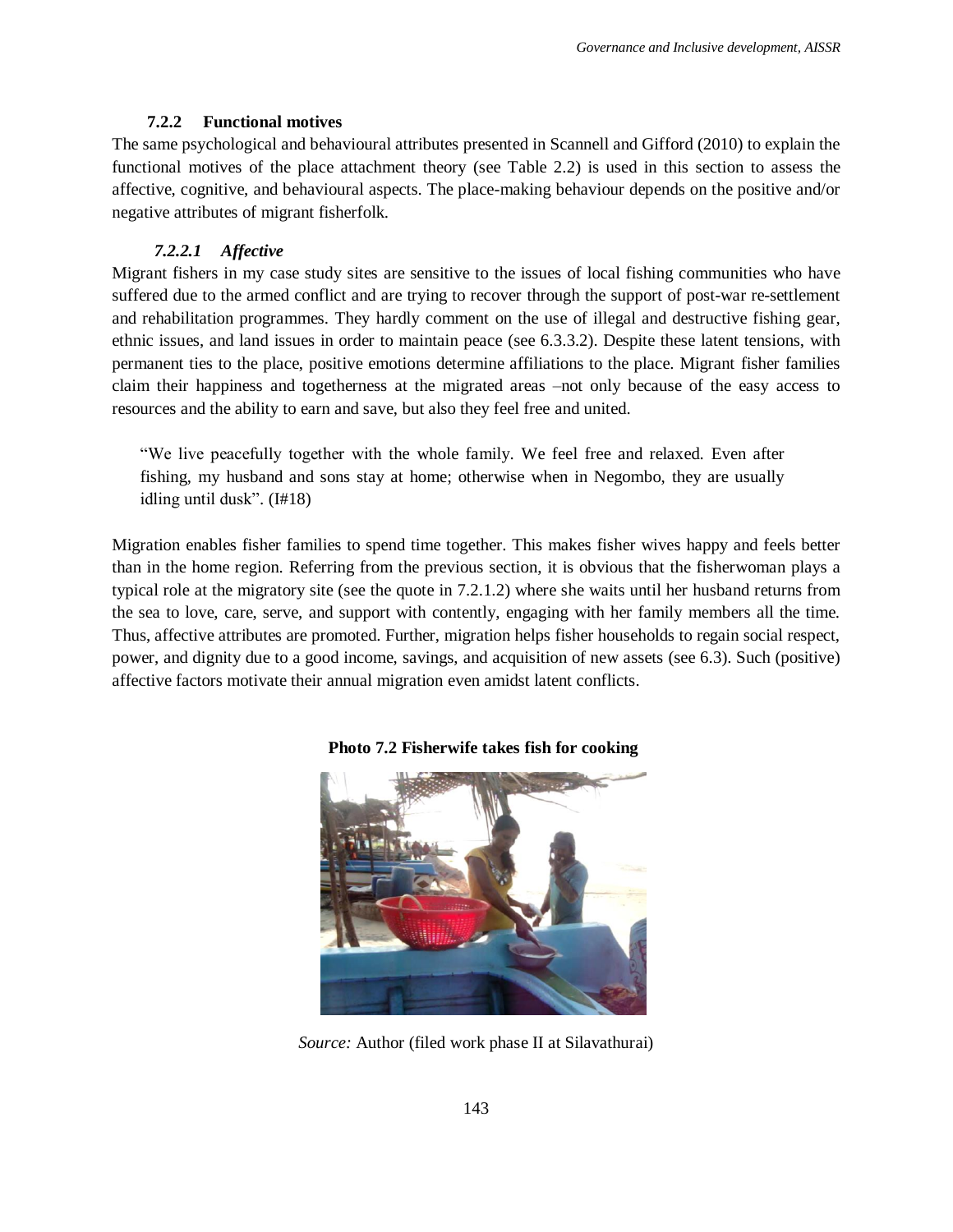#### **7.2.2 Functional motives**

<span id="page-5-0"></span>The same psychological and behavioural attributes presented in Scannell and Gifford (2010) to explain the functional motives of the place attachment theory (see Table 2.2) is used in this section to assess the affective, cognitive, and behavioural aspects. The place-making behaviour depends on the positive and/or negative attributes of migrant fisherfolk.

### *7.2.2.1 Affective*

Migrant fishers in my case study sites are sensitive to the issues of local fishing communities who have suffered due to the armed conflict and are trying to recover through the support of post-war re-settlement and rehabilitation programmes. They hardly comment on the use of illegal and destructive fishing gear, ethnic issues, and land issues in order to maintain peace (see 6.3.3.2). Despite these latent tensions, with permanent ties to the place, positive emotions determine affiliations to the place. Migrant fisher families claim their happiness and togetherness at the migrated areas –not only because of the easy access to resources and the ability to earn and save, but also they feel free and united.

"We live peacefully together with the whole family. We feel free and relaxed. Even after fishing, my husband and sons stay at home; otherwise when in Negombo, they are usually idling until dusk". (I#18)

Migration enables fisher families to spend time together. This makes fisher wives happy and feels better than in the home region. Referring from the previous section, it is obvious that the fisherwoman plays a typical role at the migratory site (see the quote in [7.2.1.2\)](#page-2-1) where she waits until her husband returns from the sea to love, care, serve, and support with contently, engaging with her family members all the time. Thus, affective attributes are promoted. Further, migration helps fisher households to regain social respect, power, and dignity due to a good income, savings, and acquisition of new assets (see 6.3). Such (positive) affective factors motivate their annual migration even amidst latent conflicts.



#### **Photo 7.2 Fisherwife takes fish for cooking**

*Source:* Author (filed work phase II at Silavathurai)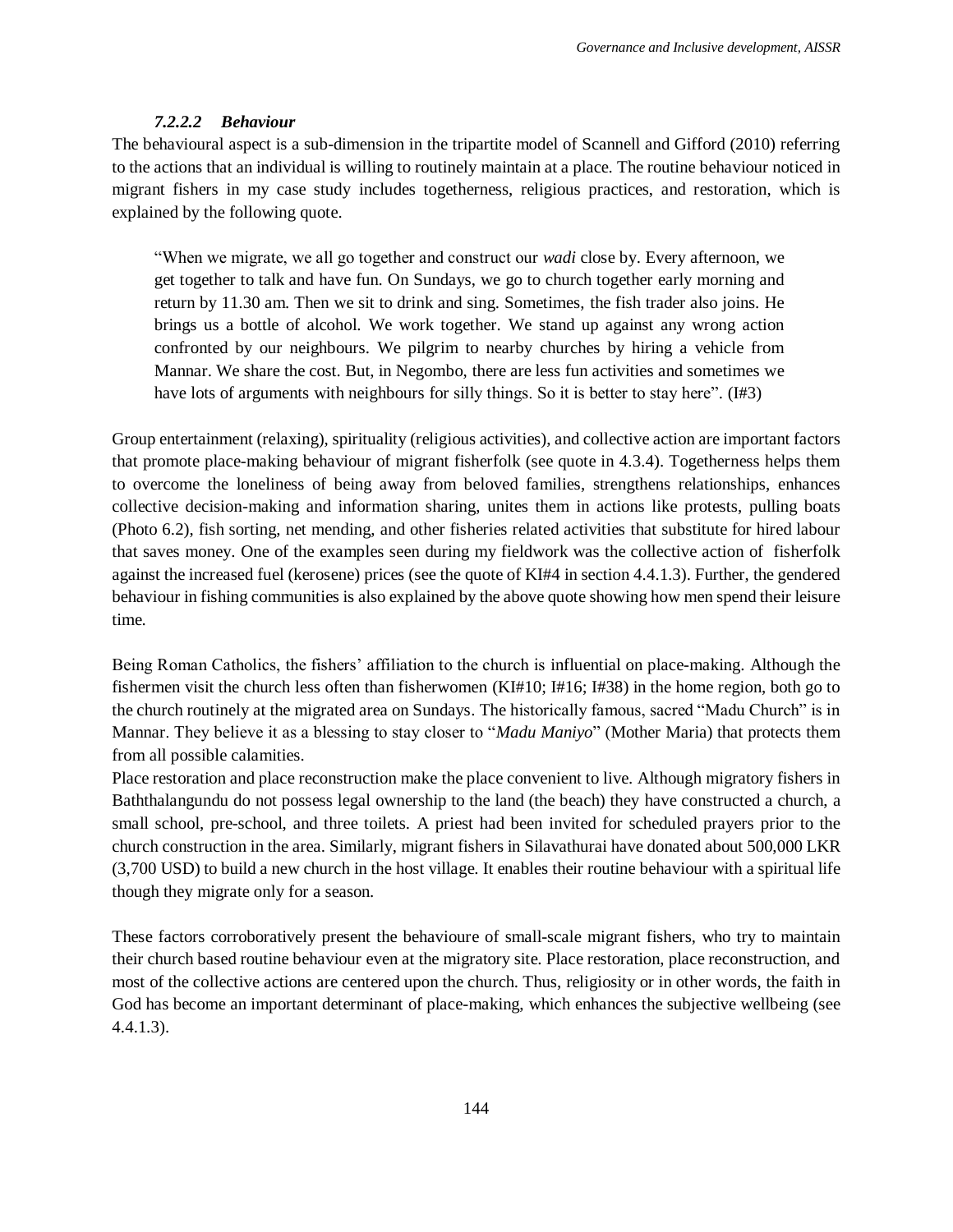#### *7.2.2.2 Behaviour*

The behavioural aspect is a sub-dimension in the tripartite model of Scannell and Gifford (2010) referring to the actions that an individual is willing to routinely maintain at a place. The routine behaviour noticed in migrant fishers in my case study includes togetherness, religious practices, and restoration, which is explained by the following quote.

"When we migrate, we all go together and construct our *wadi* close by. Every afternoon, we get together to talk and have fun. On Sundays, we go to church together early morning and return by 11.30 am. Then we sit to drink and sing. Sometimes, the fish trader also joins. He brings us a bottle of alcohol. We work together. We stand up against any wrong action confronted by our neighbours. We pilgrim to nearby churches by hiring a vehicle from Mannar. We share the cost. But, in Negombo, there are less fun activities and sometimes we have lots of arguments with neighbours for silly things. So it is better to stay here". (I#3)

Group entertainment (relaxing), spirituality (religious activities), and collective action are important factors that promote place-making behaviour of migrant fisherfolk (see quote in 4.3.4). Togetherness helps them to overcome the loneliness of being away from beloved families, strengthens relationships, enhances collective decision-making and information sharing, unites them in actions like protests, pulling boats (Photo 6.2), fish sorting, net mending, and other fisheries related activities that substitute for hired labour that saves money. One of the examples seen during my fieldwork was the collective action of fisherfolk against the increased fuel (kerosene) prices (see the quote of KI#4 in section 4.4.1.3). Further, the gendered behaviour in fishing communities is also explained by the above quote showing how men spend their leisure time.

Being Roman Catholics, the fishers' affiliation to the church is influential on place-making. Although the fishermen visit the church less often than fisherwomen (KI#10; I#16; I#38) in the home region, both go to the church routinely at the migrated area on Sundays. The historically famous, sacred "Madu Church" is in Mannar. They believe it as a blessing to stay closer to "*Madu Maniyo*" (Mother Maria) that protects them from all possible calamities.

Place restoration and place reconstruction make the place convenient to live. Although migratory fishers in Baththalangundu do not possess legal ownership to the land (the beach) they have constructed a church, a small school, pre-school, and three toilets. A priest had been invited for scheduled prayers prior to the church construction in the area. Similarly, migrant fishers in Silavathurai have donated about 500,000 LKR (3,700 USD) to build a new church in the host village. It enables their routine behaviour with a spiritual life though they migrate only for a season.

These factors corroboratively present the behavioure of small-scale migrant fishers, who try to maintain their church based routine behaviour even at the migratory site. Place restoration, place reconstruction, and most of the collective actions are centered upon the church. Thus, religiosity or in other words, the faith in God has become an important determinant of place-making, which enhances the subjective wellbeing (see 4.4.1.3).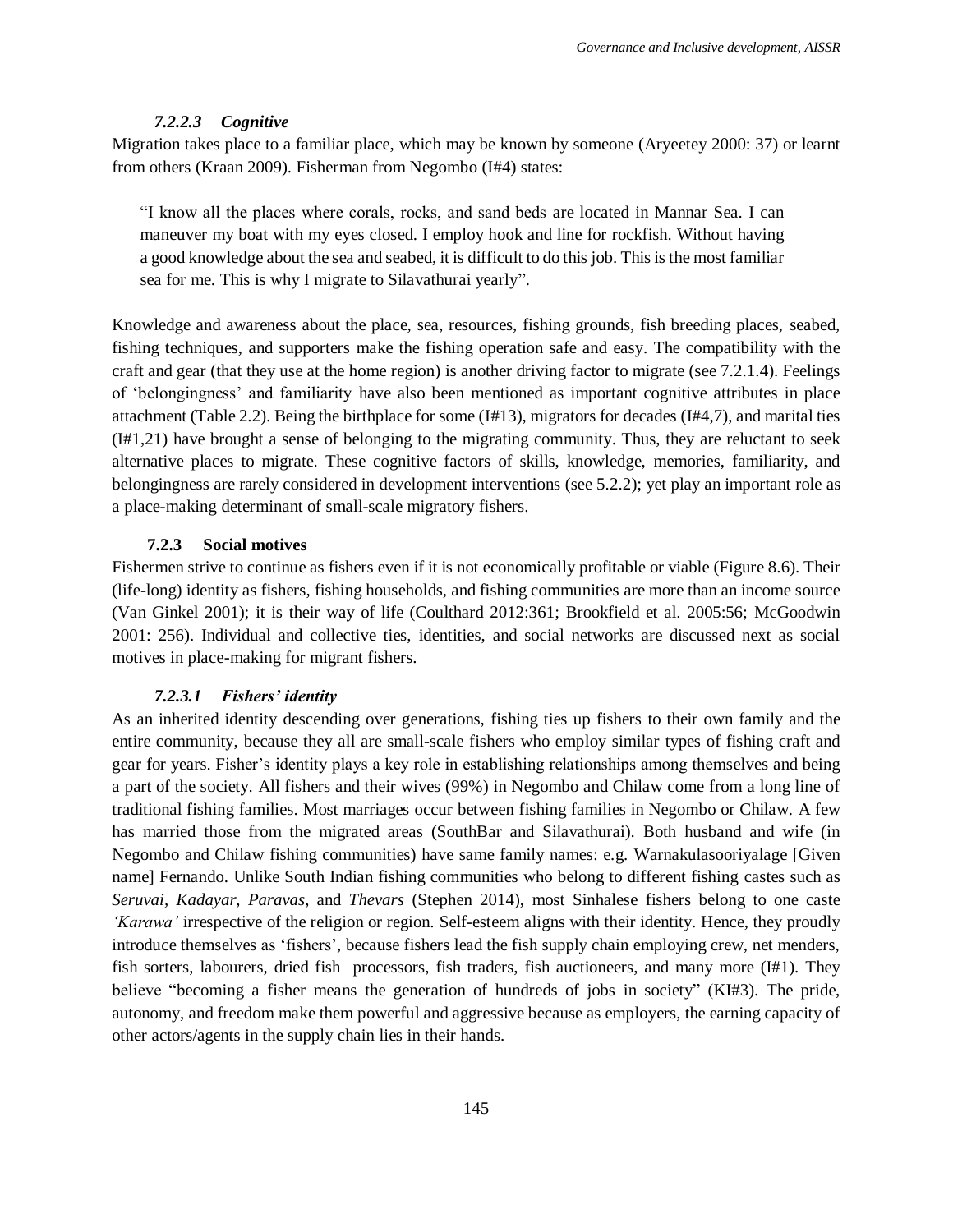#### *7.2.2.3 Cognitive*

Migration takes place to a familiar place, which may be known by someone (Aryeetey 2000: 37) or learnt from others (Kraan 2009). Fisherman from Negombo (I#4) states:

"I know all the places where corals, rocks, and sand beds are located in Mannar Sea. I can maneuver my boat with my eyes closed. I employ hook and line for rockfish. Without having a good knowledge about the sea and seabed, it is difficult to do this job. This is the most familiar sea for me. This is why I migrate to Silavathurai yearly".

Knowledge and awareness about the place, sea, resources, fishing grounds, fish breeding places, seabed, fishing techniques, and supporters make the fishing operation safe and easy. The compatibility with the craft and gear (that they use at the home region) is another driving factor to migrate (see [7.2.1.4\)](#page-4-1). Feelings of 'belongingness' and familiarity have also been mentioned as important cognitive attributes in place attachment (Table 2.2). Being the birthplace for some (I#13), migrators for decades (I#4,7), and marital ties (I#1,21) have brought a sense of belonging to the migrating community. Thus, they are reluctant to seek alternative places to migrate. These cognitive factors of skills, knowledge, memories, familiarity, and belongingness are rarely considered in development interventions (see 5.2.2); yet play an important role as a place-making determinant of small-scale migratory fishers.

#### **7.2.3 Social motives**

<span id="page-7-0"></span>Fishermen strive to continue as fishers even if it is not economically profitable or viable (Figure 8.6). Their (life-long) identity as fishers, fishing households, and fishing communities are more than an income source (Van Ginkel 2001); it is their way of life (Coulthard 2012:361; Brookfield et al. 2005:56; McGoodwin 2001: 256). Individual and collective ties, identities, and social networks are discussed next as social motives in place-making for migrant fishers.

#### *7.2.3.1 Fishers' identity*

As an inherited identity descending over generations, fishing ties up fishers to their own family and the entire community, because they all are small-scale fishers who employ similar types of fishing craft and gear for years. Fisher's identity plays a key role in establishing relationships among themselves and being a part of the society. All fishers and their wives (99%) in Negombo and Chilaw come from a long line of traditional fishing families. Most marriages occur between fishing families in Negombo or Chilaw. A few has married those from the migrated areas (SouthBar and Silavathurai). Both husband and wife (in Negombo and Chilaw fishing communities) have same family names: e.g. Warnakulasooriyalage [Given name] Fernando. Unlike South Indian fishing communities who belong to different fishing castes such as *Seruvai, Kadayar, Paravas*, and *Thevars* (Stephen 2014), most Sinhalese fishers belong to one caste *'Karawa'* irrespective of the religion or region. Self-esteem aligns with their identity. Hence, they proudly introduce themselves as 'fishers', because fishers lead the fish supply chain employing crew, net menders, fish sorters, labourers, dried fish processors, fish traders, fish auctioneers, and many more (I#1). They believe "becoming a fisher means the generation of hundreds of jobs in society" (KI#3). The pride, autonomy, and freedom make them powerful and aggressive because as employers, the earning capacity of other actors/agents in the supply chain lies in their hands.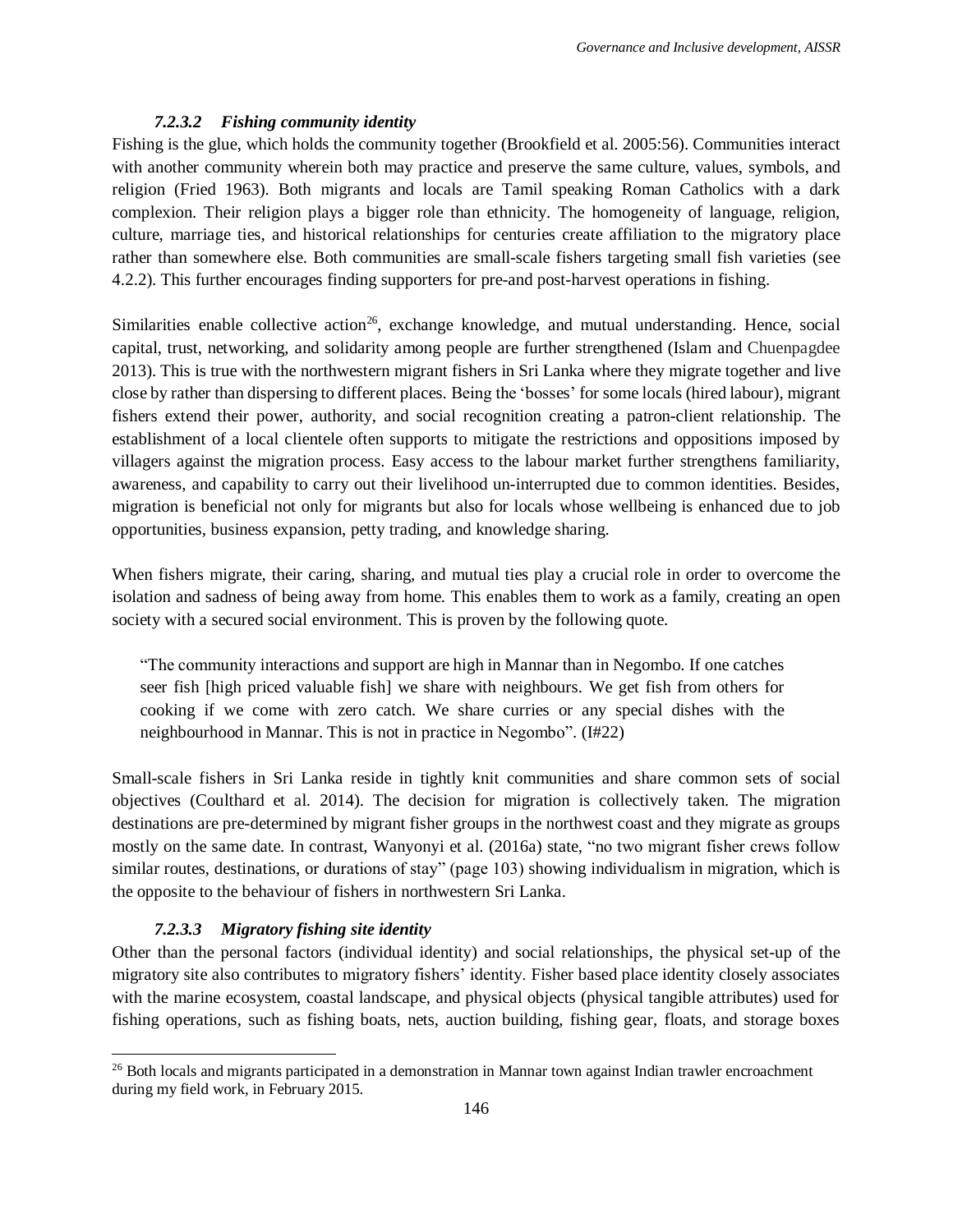#### *7.2.3.2 Fishing community identity*

Fishing is the glue, which holds the community together (Brookfield et al. 2005:56). Communities interact with another community wherein both may practice and preserve the same culture, values, symbols, and religion (Fried 1963). Both migrants and locals are Tamil speaking Roman Catholics with a dark complexion. Their religion plays a bigger role than ethnicity. The homogeneity of language, religion, culture, marriage ties, and historical relationships for centuries create affiliation to the migratory place rather than somewhere else. Both communities are small-scale fishers targeting small fish varieties (see 4.2.2). This further encourages finding supporters for pre-and post-harvest operations in fishing.

Similarities enable collective action<sup>26</sup>, exchange knowledge, and mutual understanding. Hence, social capital, trust, networking, and solidarity among people are further strengthened (Islam and Chuenpagdee 2013). This is true with the northwestern migrant fishers in Sri Lanka where they migrate together and live close by rather than dispersing to different places. Being the 'bosses' for some locals (hired labour), migrant fishers extend their power, authority, and social recognition creating a patron-client relationship. The establishment of a local clientele often supports to mitigate the restrictions and oppositions imposed by villagers against the migration process. Easy access to the labour market further strengthens familiarity, awareness, and capability to carry out their livelihood un-interrupted due to common identities. Besides, migration is beneficial not only for migrants but also for locals whose wellbeing is enhanced due to job opportunities, business expansion, petty trading, and knowledge sharing.

When fishers migrate, their caring, sharing, and mutual ties play a crucial role in order to overcome the isolation and sadness of being away from home. This enables them to work as a family, creating an open society with a secured social environment. This is proven by the following quote.

"The community interactions and support are high in Mannar than in Negombo. If one catches seer fish [high priced valuable fish] we share with neighbours. We get fish from others for cooking if we come with zero catch. We share curries or any special dishes with the neighbourhood in Mannar. This is not in practice in Negombo". (I#22)

Small-scale fishers in Sri Lanka reside in tightly knit communities and share common sets of social objectives (Coulthard et al. 2014). The decision for migration is collectively taken. The migration destinations are pre-determined by migrant fisher groups in the northwest coast and they migrate as groups mostly on the same date. In contrast, Wanyonyi et al. (2016a) state, "no two migrant fisher crews follow similar routes, destinations, or durations of stay" (page 103) showing individualism in migration, which is the opposite to the behaviour of fishers in northwestern Sri Lanka.

#### *7.2.3.3 Migratory fishing site identity*

 $\overline{\phantom{a}}$ 

Other than the personal factors (individual identity) and social relationships, the physical set-up of the migratory site also contributes to migratory fishers' identity. Fisher based place identity closely associates with the marine ecosystem, coastal landscape, and physical objects (physical tangible attributes) used for fishing operations, such as fishing boats, nets, auction building, fishing gear, floats, and storage boxes

<sup>&</sup>lt;sup>26</sup> Both locals and migrants participated in a demonstration in Mannar town against Indian trawler encroachment during my field work, in February 2015.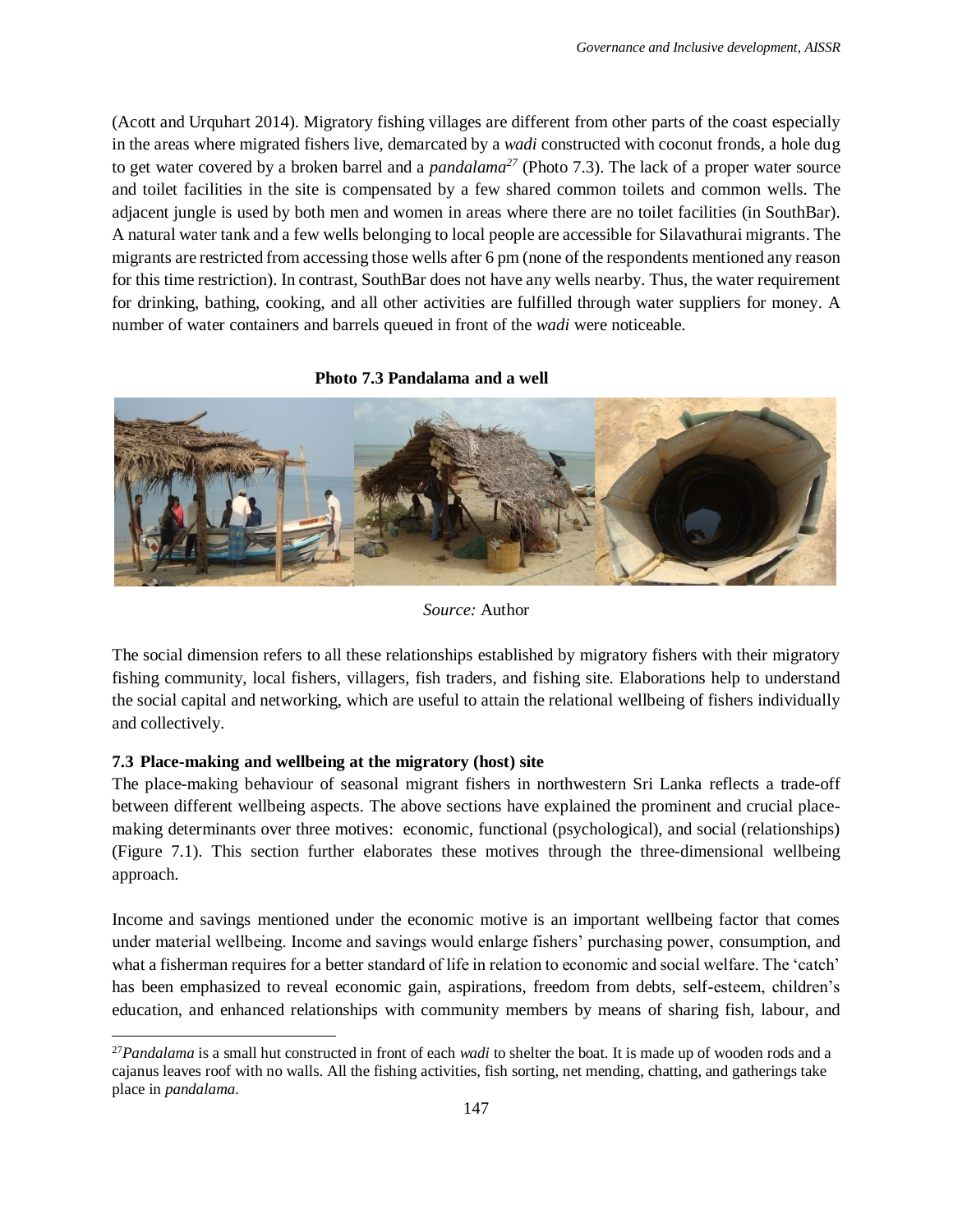(Acott and Urquhart 2014). Migratory fishing villages are different from other parts of the coast especially in the areas where migrated fishers live, demarcated by a *wadi* constructed with coconut fronds, a hole dug to get water covered by a broken barrel and a *pandalama<sup>27</sup>* [\(Photo 7.3\)](#page-9-1). The lack of a proper water source and toilet facilities in the site is compensated by a few shared common toilets and common wells. The adjacent jungle is used by both men and women in areas where there are no toilet facilities (in SouthBar). A natural water tank and a few wells belonging to local people are accessible for Silavathurai migrants. The migrants are restricted from accessing those wells after 6 pm (none of the respondents mentioned any reason for this time restriction). In contrast, SouthBar does not have any wells nearby. Thus, the water requirement for drinking, bathing, cooking, and all other activities are fulfilled through water suppliers for money. A number of water containers and barrels queued in front of the *wadi* were noticeable.

#### <span id="page-9-1"></span>**Photo 7.3 Pandalama and a well**



#### *Source:* Author

The social dimension refers to all these relationships established by migratory fishers with their migratory fishing community, local fishers, villagers, fish traders, and fishing site. Elaborations help to understand the social capital and networking, which are useful to attain the relational wellbeing of fishers individually and collectively.

#### <span id="page-9-0"></span>**7.3 Place-making and wellbeing at the migratory (host) site**

 $\overline{a}$ 

The place-making behaviour of seasonal migrant fishers in northwestern Sri Lanka reflects a trade-off between different wellbeing aspects. The above sections have explained the prominent and crucial placemaking determinants over three motives: economic, functional (psychological), and social (relationships) [\(Figure 7.1\)](#page-11-1). This section further elaborates these motives through the three-dimensional wellbeing approach.

Income and savings mentioned under the economic motive is an important wellbeing factor that comes under material wellbeing. Income and savings would enlarge fishers' purchasing power, consumption, and what a fisherman requires for a better standard of life in relation to economic and social welfare. The 'catch' has been emphasized to reveal economic gain, aspirations, freedom from debts, self-esteem, children's education, and enhanced relationships with community members by means of sharing fish, labour, and

<sup>27</sup>*Pandalama* is a small hut constructed in front of each *wadi* to shelter the boat. It is made up of wooden rods and a cajanus leaves roof with no walls. All the fishing activities, fish sorting, net mending, chatting, and gatherings take place in *pandalama*.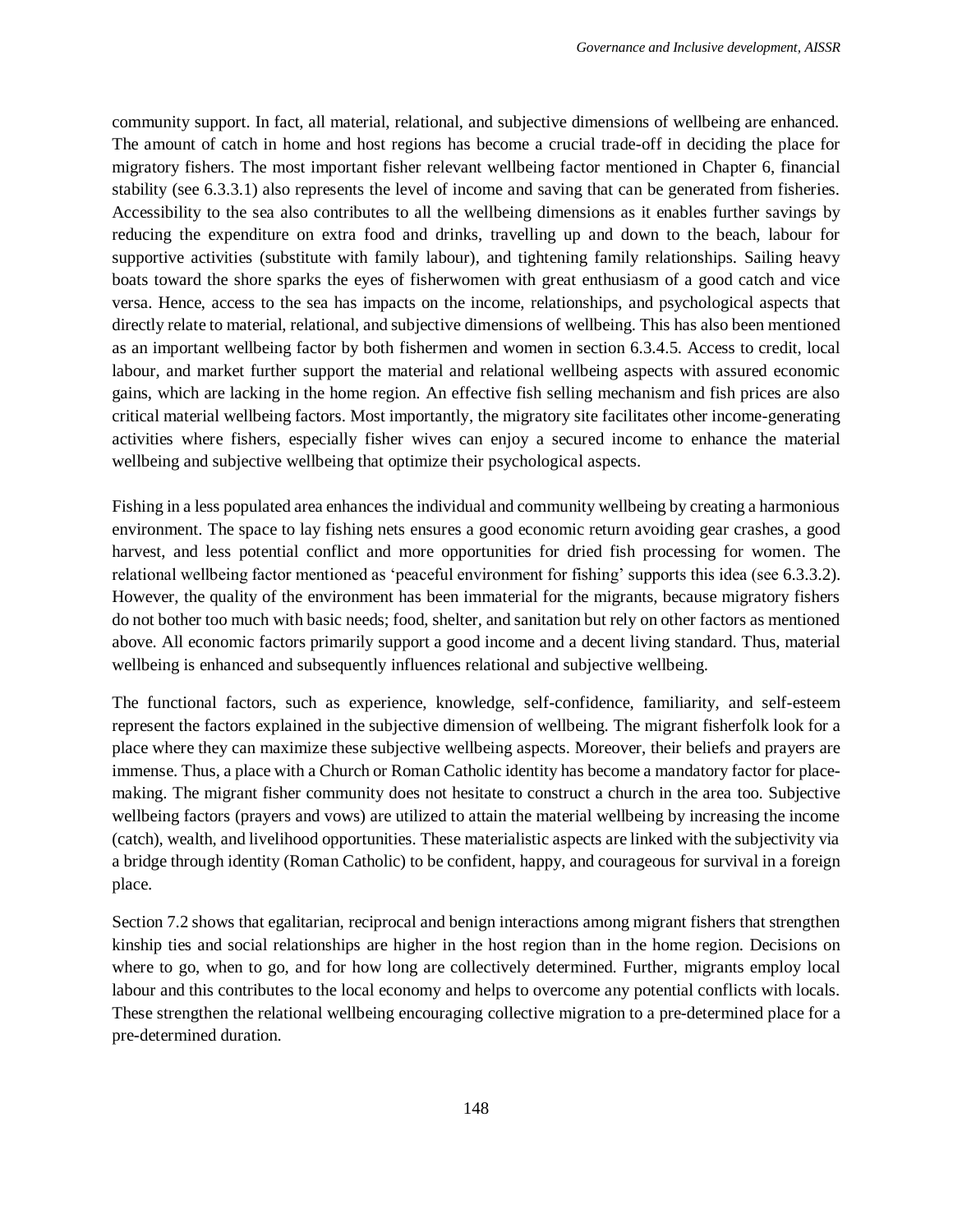community support. In fact, all material, relational, and subjective dimensions of wellbeing are enhanced. The amount of catch in home and host regions has become a crucial trade-off in deciding the place for migratory fishers. The most important fisher relevant wellbeing factor mentioned in Chapter 6, financial stability (see 6.3.3.1) also represents the level of income and saving that can be generated from fisheries. Accessibility to the sea also contributes to all the wellbeing dimensions as it enables further savings by reducing the expenditure on extra food and drinks, travelling up and down to the beach, labour for supportive activities (substitute with family labour), and tightening family relationships. Sailing heavy boats toward the shore sparks the eyes of fisherwomen with great enthusiasm of a good catch and vice versa. Hence, access to the sea has impacts on the income, relationships, and psychological aspects that directly relate to material, relational, and subjective dimensions of wellbeing. This has also been mentioned as an important wellbeing factor by both fishermen and women in section 6.3.4.5. Access to credit, local labour, and market further support the material and relational wellbeing aspects with assured economic gains, which are lacking in the home region. An effective fish selling mechanism and fish prices are also critical material wellbeing factors. Most importantly, the migratory site facilitates other income-generating activities where fishers, especially fisher wives can enjoy a secured income to enhance the material wellbeing and subjective wellbeing that optimize their psychological aspects.

Fishing in a less populated area enhances the individual and community wellbeing by creating a harmonious environment. The space to lay fishing nets ensures a good economic return avoiding gear crashes, a good harvest, and less potential conflict and more opportunities for dried fish processing for women. The relational wellbeing factor mentioned as 'peaceful environment for fishing' supports this idea (see 6.3.3.2). However, the quality of the environment has been immaterial for the migrants, because migratory fishers do not bother too much with basic needs; food, shelter, and sanitation but rely on other factors as mentioned above. All economic factors primarily support a good income and a decent living standard. Thus, material wellbeing is enhanced and subsequently influences relational and subjective wellbeing.

The functional factors, such as experience, knowledge, self-confidence, familiarity, and self-esteem represent the factors explained in the subjective dimension of wellbeing. The migrant fisherfolk look for a place where they can maximize these subjective wellbeing aspects. Moreover, their beliefs and prayers are immense. Thus, a place with a Church or Roman Catholic identity has become a mandatory factor for placemaking. The migrant fisher community does not hesitate to construct a church in the area too. Subjective wellbeing factors (prayers and vows) are utilized to attain the material wellbeing by increasing the income (catch), wealth, and livelihood opportunities. These materialistic aspects are linked with the subjectivity via a bridge through identity (Roman Catholic) to be confident, happy, and courageous for survival in a foreign place.

Section [7.2](#page-1-0) shows that egalitarian, reciprocal and benign interactions among migrant fishers that strengthen kinship ties and social relationships are higher in the host region than in the home region. Decisions on where to go, when to go, and for how long are collectively determined. Further, migrants employ local labour and this contributes to the local economy and helps to overcome any potential conflicts with locals. These strengthen the relational wellbeing encouraging collective migration to a pre-determined place for a pre-determined duration.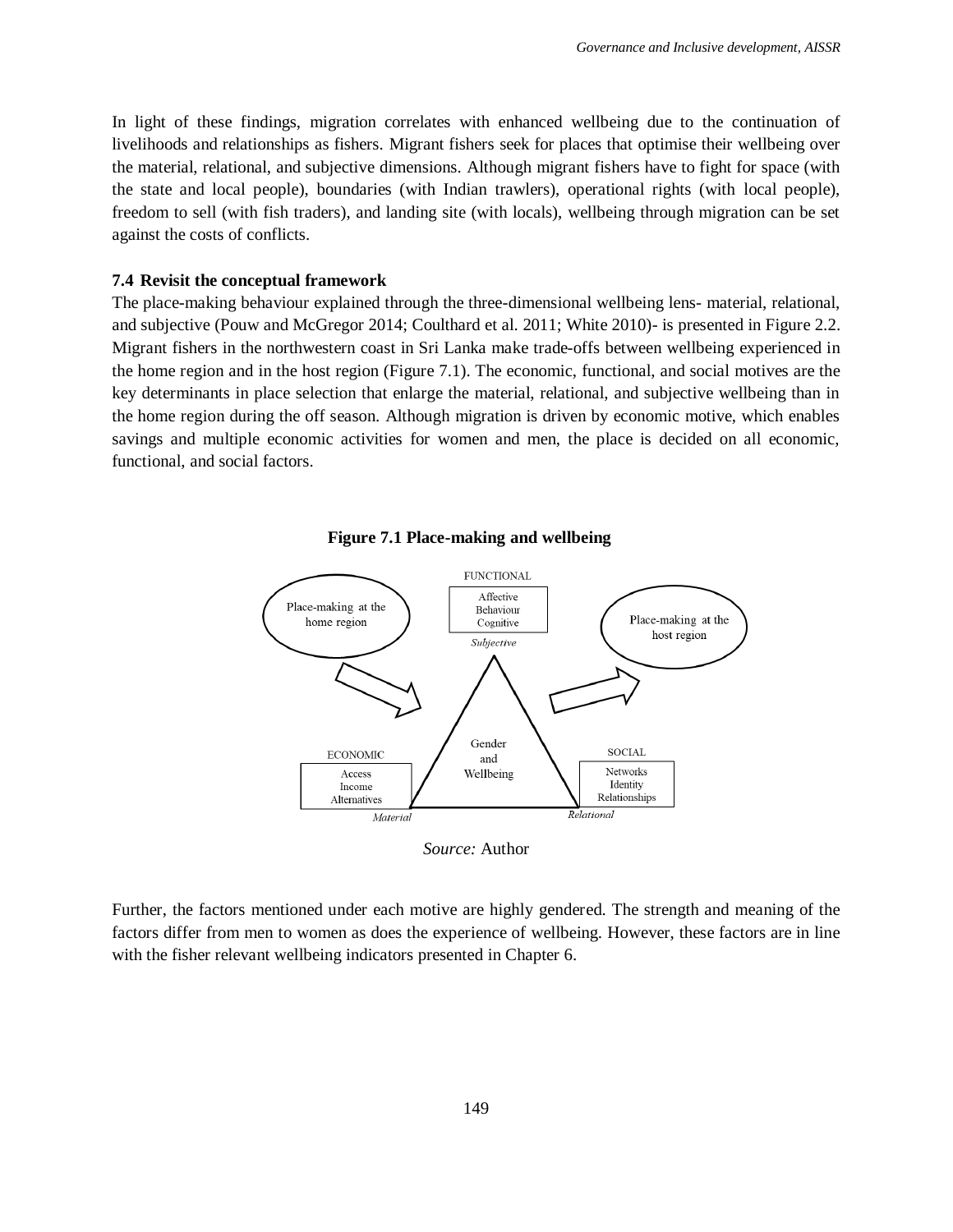In light of these findings, migration correlates with enhanced wellbeing due to the continuation of livelihoods and relationships as fishers. Migrant fishers seek for places that optimise their wellbeing over the material, relational, and subjective dimensions. Although migrant fishers have to fight for space (with the state and local people), boundaries (with Indian trawlers), operational rights (with local people), freedom to sell (with fish traders), and landing site (with locals), wellbeing through migration can be set against the costs of conflicts.

#### <span id="page-11-0"></span>**7.4 Revisit the conceptual framework**

The place-making behaviour explained through the three-dimensional wellbeing lens- material, relational, and subjective (Pouw and McGregor 2014; Coulthard et al. 2011; White 2010)- is presented in Figure 2.2. Migrant fishers in the northwestern coast in Sri Lanka make trade-offs between wellbeing experienced in the home region and in the host region [\(Figure 7.1\)](#page-11-1). The economic, functional, and social motives are the key determinants in place selection that enlarge the material, relational, and subjective wellbeing than in the home region during the off season. Although migration is driven by economic motive, which enables savings and multiple economic activities for women and men, the place is decided on all economic, functional, and social factors.

<span id="page-11-1"></span>



Further, the factors mentioned under each motive are highly gendered. The strength and meaning of the factors differ from men to women as does the experience of wellbeing. However, these factors are in line with the fisher relevant wellbeing indicators presented in Chapter 6.